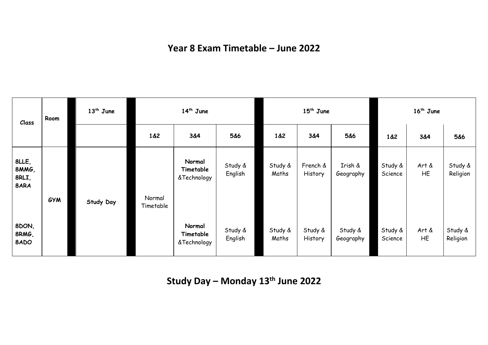## **Year 8 Exam Timetable – June 2022**

| Class                           | Room       | $13th$ June      |                     | $14th$ June                        |                    | $15^{th}$ June   |                     |                      | $16th$ June        |             |                     |
|---------------------------------|------------|------------------|---------------------|------------------------------------|--------------------|------------------|---------------------|----------------------|--------------------|-------------|---------------------|
|                                 |            |                  | 1&2                 | 3&4                                | 5&6                | 1&2              | 3&4                 | 5&6                  | 1&2                | 3&4         | 5&6                 |
| 8LLE,<br>8MMG,<br>8RLI,<br>8ARA | <b>GYM</b> | <b>Study Day</b> | Normal<br>Timetable | Normal<br>Timetable<br>&Technology | Study &<br>English | Study &<br>Maths | French &<br>History | Irish &<br>Geography | Study &<br>Science | Art &<br>HE | Study &<br>Religion |
| 8DON,<br>8RMG,<br>8ADO          |            |                  |                     | Normal<br>Timetable<br>&Technology | Study &<br>English | Study &<br>Maths | Study &<br>History  | Study &<br>Geography | Study &<br>Science | Art &<br>HE | Study &<br>Religion |

**Study Day – Monday 13th June 2022**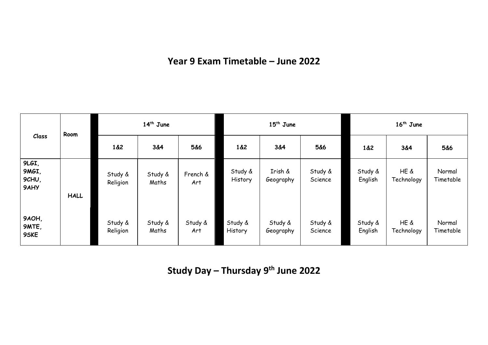## **Year 9 Exam Timetable – June 2022**

| Class                           | Room        | $14th$ June         |                  |                 | $15th$ June        |                      |                    | 16 <sup>th</sup> June |                    |                     |  |
|---------------------------------|-------------|---------------------|------------------|-----------------|--------------------|----------------------|--------------------|-----------------------|--------------------|---------------------|--|
|                                 |             | 1&2                 | 3&4              | 5&6             | 1&82               | 3&4                  | 5&6                | 1&2                   | 3&4                | 5&6                 |  |
| 9LGI,<br>9MGI,<br>9CHU,<br>9AHY | <b>HALL</b> | Study &<br>Religion | Study &<br>Maths | French &<br>Art | Study &<br>History | Irish &<br>Geography | Study &<br>Science | Study &<br>English    | HE &<br>Technology | Normal<br>Timetable |  |
| 9AOH,<br>9MTE,<br>9SKE          |             | Study &<br>Religion | Study &<br>Maths | Study &<br>Art  | Study &<br>History | Study &<br>Geography | Study &<br>Science | Study &<br>English    | HE &<br>Technology | Normal<br>Timetable |  |

**Study Day – Thursday 9 th June 2022**